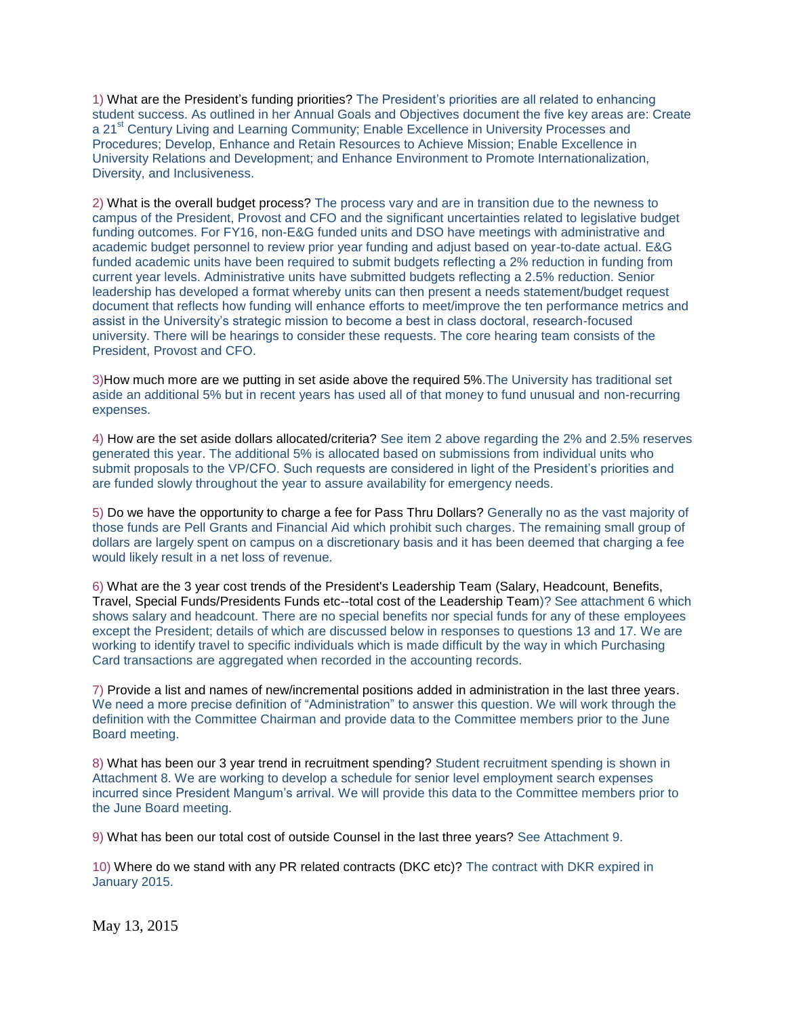1) What are the President's funding priorities? The President's priorities are all related to enhancing student success. As outlined in her Annual Goals and Objectives document the five key areas are: Create a 21<sup>st</sup> Century Living and Learning Community; Enable Excellence in University Processes and Procedures; Develop, Enhance and Retain Resources to Achieve Mission; Enable Excellence in University Relations and Development; and Enhance Environment to Promote Internationalization, Diversity, and Inclusiveness.

2) What is the overall budget process? The process vary and are in transition due to the newness to campus of the President, Provost and CFO and the significant uncertainties related to legislative budget funding outcomes. For FY16, non-E&G funded units and DSO have meetings with administrative and academic budget personnel to review prior year funding and adjust based on year-to-date actual. E&G funded academic units have been required to submit budgets reflecting a 2% reduction in funding from current year levels. Administrative units have submitted budgets reflecting a 2.5% reduction. Senior leadership has developed a format whereby units can then present a needs statement/budget request document that reflects how funding will enhance efforts to meet/improve the ten performance metrics and assist in the University's strategic mission to become a best in class doctoral, research-focused university. There will be hearings to consider these requests. The core hearing team consists of the President, Provost and CFO.

3)How much more are we putting in set aside above the required 5%.The University has traditional set aside an additional 5% but in recent years has used all of that money to fund unusual and non-recurring expenses.

4) How are the set aside dollars allocated/criteria? See item 2 above regarding the 2% and 2.5% reserves generated this year. The additional 5% is allocated based on submissions from individual units who submit proposals to the VP/CFO. Such requests are considered in light of the President's priorities and are funded slowly throughout the year to assure availability for emergency needs.

5) Do we have the opportunity to charge a fee for Pass Thru Dollars? Generally no as the vast majority of those funds are Pell Grants and Financial Aid which prohibit such charges. The remaining small group of dollars are largely spent on campus on a discretionary basis and it has been deemed that charging a fee would likely result in a net loss of revenue.

6) What are the 3 year cost trends of the President's Leadership Team (Salary, Headcount, Benefits, Travel, Special Funds/Presidents Funds etc--total cost of the Leadership Team)? See attachment 6 which shows salary and headcount. There are no special benefits nor special funds for any of these employees except the President; details of which are discussed below in responses to questions 13 and 17. We are working to identify travel to specific individuals which is made difficult by the way in which Purchasing Card transactions are aggregated when recorded in the accounting records.

7) Provide a list and names of new/incremental positions added in administration in the last three years. We need a more precise definition of "Administration" to answer this question. We will work through the definition with the Committee Chairman and provide data to the Committee members prior to the June Board meeting.

8) What has been our 3 year trend in recruitment spending? Student recruitment spending is shown in Attachment 8. We are working to develop a schedule for senior level employment search expenses incurred since President Mangum's arrival. We will provide this data to the Committee members prior to the June Board meeting.

9) What has been our total cost of outside Counsel in the last three years? See Attachment 9.

10) Where do we stand with any PR related contracts (DKC etc)? The contract with DKR expired in January 2015.

May 13, 2015